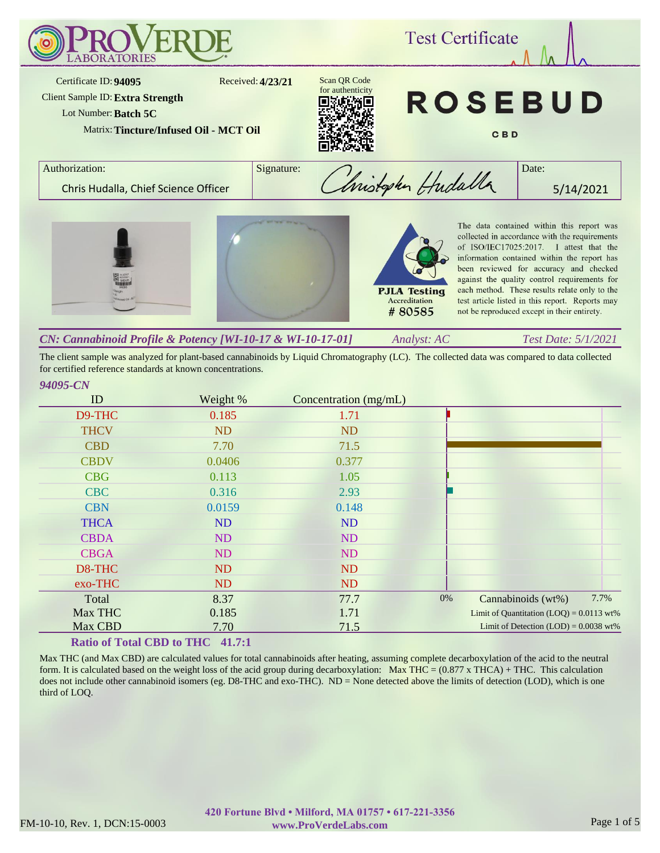

The client sample was analyzed for plant-based cannabinoids by Liquid Chromatography (LC). The collected data was compared to data collected for certified reference standards at known concentrations.

### *94095-CN*

| ID          | Weight %  | Concentration (mg/mL) |    |                                            |      |
|-------------|-----------|-----------------------|----|--------------------------------------------|------|
| D9-THC      | 0.185     | 1.71                  |    |                                            |      |
| <b>THCV</b> | <b>ND</b> | <b>ND</b>             |    |                                            |      |
| <b>CBD</b>  | 7.70      | 71.5                  |    |                                            |      |
| <b>CBDV</b> | 0.0406    | 0.377                 |    |                                            |      |
| <b>CBG</b>  | 0.113     | 1.05                  |    |                                            |      |
| <b>CBC</b>  | 0.316     | 2.93                  |    |                                            |      |
| <b>CBN</b>  | 0.0159    | 0.148                 |    |                                            |      |
| <b>THCA</b> | <b>ND</b> | ND                    |    |                                            |      |
| <b>CBDA</b> | <b>ND</b> | <b>ND</b>             |    |                                            |      |
| <b>CBGA</b> | ND        | <b>ND</b>             |    |                                            |      |
| D8-THC      | <b>ND</b> | <b>ND</b>             |    |                                            |      |
| exo-THC     | ND        | <b>ND</b>             |    |                                            |      |
| Total       | 8.37      | 77.7                  | 0% | Cannabinoids (wt%)                         | 7.7% |
| Max THC     | 0.185     | 1.71                  |    | Limit of Quantitation $(LOQ) = 0.0113$ wt% |      |
| Max CBD     | 7.70      | 71.5                  |    | Limit of Detection $(LOD) = 0.0038$ wt%    |      |

## **Ratio of Total CBD to THC 41.7:1**

Max THC (and Max CBD) are calculated values for total cannabinoids after heating, assuming complete decarboxylation of the acid to the neutral form. It is calculated based on the weight loss of the acid group during decarboxylation: Max THC =  $(0.877 \times THCA) + THC$ . This calculation does not include other cannabinoid isomers (eg. D8-THC and exo-THC). ND = None detected above the limits of detection (LOD), which is one third of LOQ.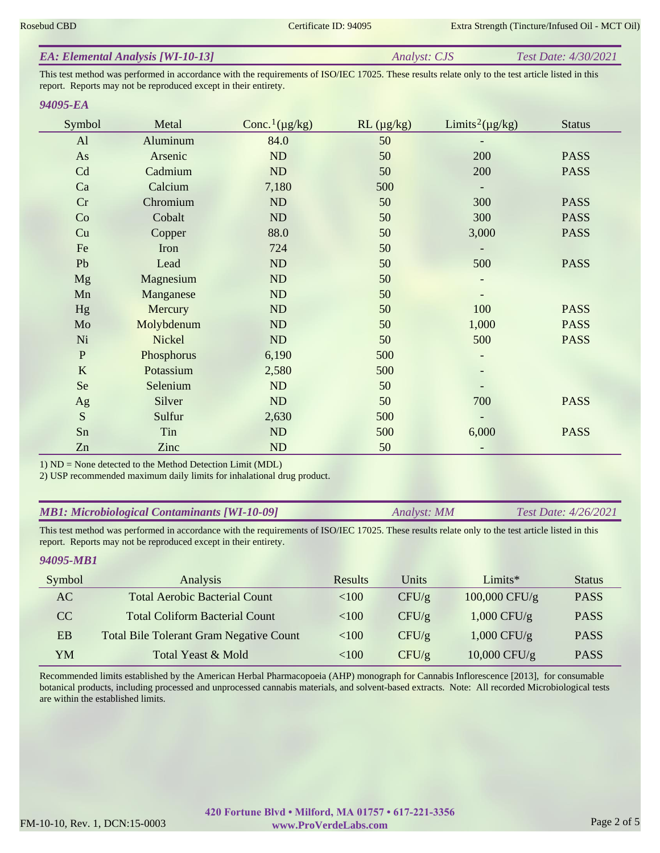| <b>EA: Elemental Analysis [WI-10-13]</b> | <i>Analyst: CJS</i> | Test Date: 4/30/2021 |
|------------------------------------------|---------------------|----------------------|
|                                          |                     |                      |

This test method was performed in accordance with the requirements of ISO/IEC 17025. These results relate only to the test article listed in this report. Reports may not be reproduced except in their entirety.

#### *94095-EA*

| Symbol      | Metal      | Conc. <sup>1</sup> ( $\mu$ g/kg) | $RL (\mu g/kg)$ | Limits <sup>2</sup> ( $\mu$ g/kg) | <b>Status</b> |
|-------------|------------|----------------------------------|-----------------|-----------------------------------|---------------|
| AI          | Aluminum   | 84.0                             | 50              |                                   |               |
| As          | Arsenic    | ND                               | 50              | 200                               | <b>PASS</b>   |
| Cd          | Cadmium    | ND                               | 50              | 200                               | <b>PASS</b>   |
| Ca          | Calcium    | 7,180                            | 500             |                                   |               |
| Cr          | Chromium   | ND                               | 50              | 300                               | <b>PASS</b>   |
| Co          | Cobalt     | ND                               | 50              | 300                               | <b>PASS</b>   |
| Cu          | Copper     | 88.0                             | 50              | 3,000                             | <b>PASS</b>   |
| Fe          | Iron       | 724                              | 50              |                                   |               |
| Pb          | Lead       | ND                               | 50              | 500                               | <b>PASS</b>   |
| Mg          | Magnesium  | ND                               | 50              |                                   |               |
| Mn          | Manganese  | ND                               | 50              |                                   |               |
| Hg          | Mercury    | ND                               | 50              | 100                               | <b>PASS</b>   |
| Mo          | Molybdenum | ND                               | 50              | 1,000                             | <b>PASS</b>   |
| Ni          | Nickel     | ND                               | 50              | 500                               | <b>PASS</b>   |
| $\mathbf P$ | Phosphorus | 6,190                            | 500             |                                   |               |
| $\bf K$     | Potassium  | 2,580                            | 500             |                                   |               |
| Se          | Selenium   | ND                               | 50              |                                   |               |
| Ag          | Silver     | ND                               | 50              | 700                               | <b>PASS</b>   |
| S           | Sulfur     | 2,630                            | 500             |                                   |               |
| Sn          | Tin        | ND                               | 500             | 6,000                             | <b>PASS</b>   |
| Zn          | Zinc       | ND                               | 50              |                                   |               |

1) ND = None detected to the Method Detection Limit (MDL)

2) USP recommended maximum daily limits for inhalational drug product.

| <b>MB1: Microbiological Contaminants [WI-10-09]</b> | Analyst: MM | <i>Test Date: 4/26/2021</i> |
|-----------------------------------------------------|-------------|-----------------------------|
|-----------------------------------------------------|-------------|-----------------------------|

This test method was performed in accordance with the requirements of ISO/IEC 17025. These results relate only to the test article listed in this report. Reports may not be reproduced except in their entirety.

### *94095-MB1*

| Symbol | Analysis                                       | Results  | Units | $Limits*$      | <b>Status</b> |
|--------|------------------------------------------------|----------|-------|----------------|---------------|
| AC     | <b>Total Aerobic Bacterial Count</b>           | ${<}100$ | CFU/g | 100,000 CFU/g  | <b>PASS</b>   |
| CC.    | <b>Total Coliform Bacterial Count</b>          | < 100    | CFU/g | $1,000$ CFU/g  | <b>PASS</b>   |
| EB     | <b>Total Bile Tolerant Gram Negative Count</b> | < 100    | CFU/g | $1,000$ CFU/g  | <b>PASS</b>   |
| YM     | Total Yeast & Mold                             | <100     | CFU/g | $10,000$ CFU/g | <b>PASS</b>   |

Recommended limits established by the American Herbal Pharmacopoeia (AHP) monograph for Cannabis Inflorescence [2013], for consumable botanical products, including processed and unprocessed cannabis materials, and solvent-based extracts. Note: All recorded Microbiological tests are within the established limits.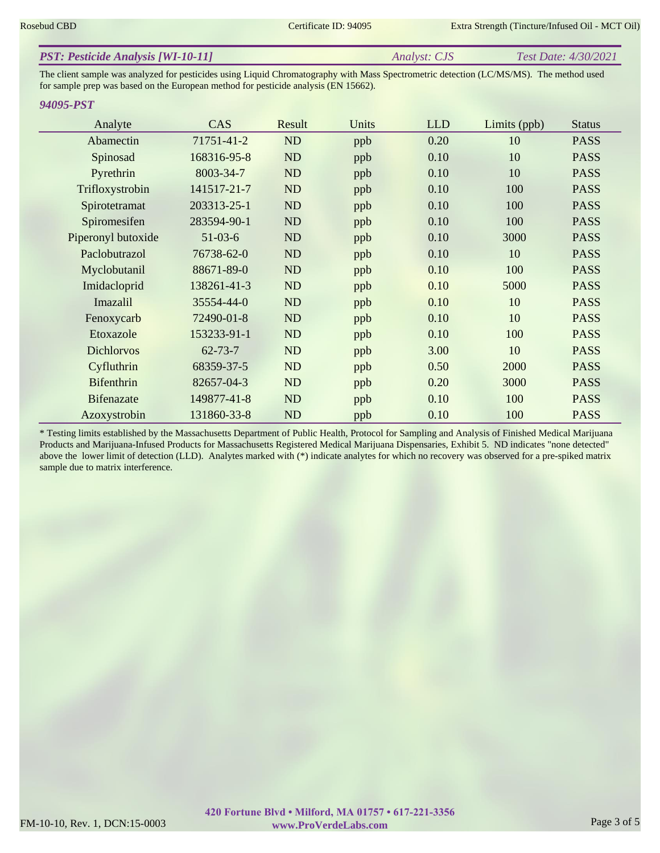| <b>PST: Pesticide Analysis [WI-10-11]</b><br><b>Test Date: 4/30/2021</b><br><i>Analyst: CJS</i> |
|-------------------------------------------------------------------------------------------------|
|-------------------------------------------------------------------------------------------------|

The client sample was analyzed for pesticides using Liquid Chromatography with Mass Spectrometric detection (LC/MS/MS). The method used for sample prep was based on the European method for pesticide analysis (EN 15662).

#### *94095-PST*

| Analyte            | CAS           | Result | Units | <b>LLD</b> | Limits (ppb) | <b>Status</b> |
|--------------------|---------------|--------|-------|------------|--------------|---------------|
| Abamectin          | 71751-41-2    | ND     | ppb   | 0.20       | 10           | <b>PASS</b>   |
| Spinosad           | 168316-95-8   | ND     | ppb   | 0.10       | 10           | <b>PASS</b>   |
| Pyrethrin          | 8003-34-7     | ND     | ppb   | 0.10       | 10           | <b>PASS</b>   |
| Trifloxystrobin    | 141517-21-7   | ND     | ppb   | 0.10       | 100          | <b>PASS</b>   |
| Spirotetramat      | 203313-25-1   | ND     | ppb   | 0.10       | 100          | <b>PASS</b>   |
| Spiromesifen       | 283594-90-1   | ND     | ppb   | 0.10       | 100          | <b>PASS</b>   |
| Piperonyl butoxide | $51-03-6$     | ND     | ppb   | 0.10       | 3000         | <b>PASS</b>   |
| Paclobutrazol      | 76738-62-0    | ND     | ppb   | 0.10       | 10           | <b>PASS</b>   |
| Myclobutanil       | 88671-89-0    | ND     | ppb   | 0.10       | 100          | <b>PASS</b>   |
| Imidacloprid       | 138261-41-3   | ND     | ppb   | 0.10       | 5000         | <b>PASS</b>   |
| Imazalil           | 35554-44-0    | ND     | ppb   | 0.10       | 10           | <b>PASS</b>   |
| Fenoxycarb         | 72490-01-8    | ND     | ppb   | 0.10       | 10           | <b>PASS</b>   |
| Etoxazole          | 153233-91-1   | ND     | ppb   | 0.10       | 100          | <b>PASS</b>   |
| <b>Dichlorvos</b>  | $62 - 73 - 7$ | ND     | ppb   | 3.00       | 10           | <b>PASS</b>   |
| Cyfluthrin         | 68359-37-5    | ND     | ppb   | 0.50       | 2000         | <b>PASS</b>   |
| <b>Bifenthrin</b>  | 82657-04-3    | ND     | ppb   | 0.20       | 3000         | <b>PASS</b>   |
| <b>Bifenazate</b>  | 149877-41-8   | ND     | ppb   | 0.10       | 100          | <b>PASS</b>   |
| Azoxystrobin       | 131860-33-8   | ND     | ppb   | 0.10       | 100          | <b>PASS</b>   |

\* Testing limits established by the Massachusetts Department of Public Health, Protocol for Sampling and Analysis of Finished Medical Marijuana Products and Marijuana-Infused Products for Massachusetts Registered Medical Marijuana Dispensaries, Exhibit 5. ND indicates "none detected" above the lower limit of detection (LLD). Analytes marked with (\*) indicate analytes for which no recovery was observed for a pre-spiked matrix sample due to matrix interference.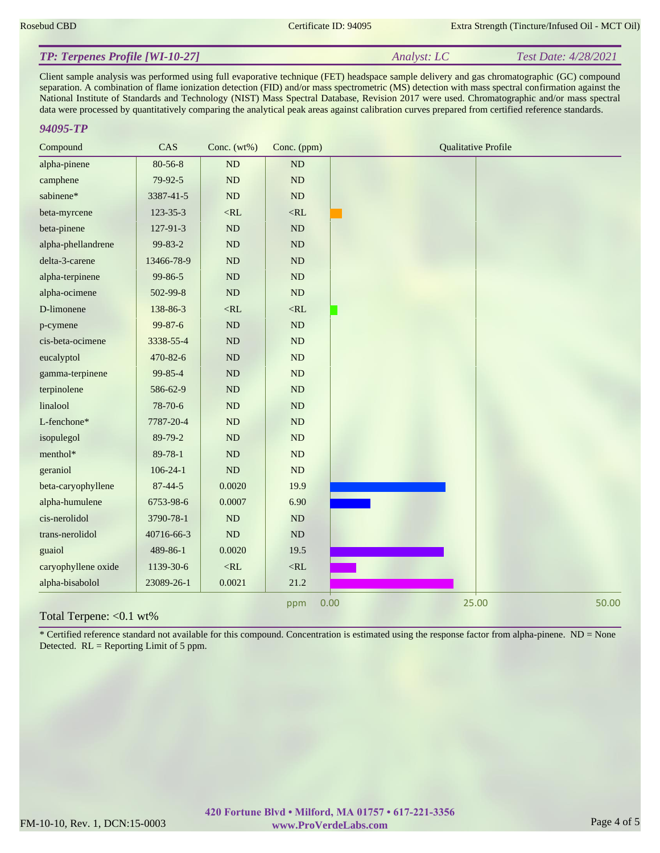#### *Analyst: LC Test Date: 4/28/2021 TP: Terpenes Profile [WI-10-27]*

Client sample analysis was performed using full evaporative technique (FET) headspace sample delivery and gas chromatographic (GC) compound separation. A combination of flame ionization detection (FID) and/or mass spectrometric (MS) detection with mass spectral confirmation against the National Institute of Standards and Technology (NIST) Mass Spectral Database, Revision 2017 were used. Chromatographic and/or mass spectral data were processed by quantitatively comparing the analytical peak areas against calibration curves prepared from certified reference standards.

#### *94095-TP*

| Compound            | CAS            | Conc. $(wt\%)$ | Conc. (ppm) | <b>Qualitative Profile</b> |
|---------------------|----------------|----------------|-------------|----------------------------|
| alpha-pinene        | $80 - 56 - 8$  | ND             | ND          |                            |
| camphene            | $79-92-5$      | $\rm ND$       | ND          |                            |
| sabinene*           | 3387-41-5      | ND             | $\rm ND$    |                            |
| beta-myrcene        | $123 - 35 - 3$ | $<$ RL         | $<$ RL      |                            |
| beta-pinene         | 127-91-3       | ND             | $\rm ND$    |                            |
| alpha-phellandrene  | 99-83-2        | $\rm ND$       | ND          |                            |
| delta-3-carene      | 13466-78-9     | ${\rm ND}$     | ND          |                            |
| alpha-terpinene     | 99-86-5        | $\rm ND$       | ND          |                            |
| alpha-ocimene       | 502-99-8       | ND             | ND          |                            |
| D-limonene          | 138-86-3       | $<$ RL         | $<$ RL      |                            |
| p-cymene            | 99-87-6        | ND             | ND          |                            |
| cis-beta-ocimene    | 3338-55-4      | $\rm ND$       | ND          |                            |
| eucalyptol          | 470-82-6       | $\rm ND$       | ND          |                            |
| gamma-terpinene     | 99-85-4        | ND             | ND          |                            |
| terpinolene         | 586-62-9       | $\rm ND$       | ND          |                            |
| linalool            | 78-70-6        | ND             | $\rm ND$    |                            |
| L-fenchone*         | 7787-20-4      | $\rm ND$       | $\rm ND$    |                            |
| isopulegol          | 89-79-2        | ND             | ND          |                            |
| menthol*            | $89 - 78 - 1$  | ND             | ND          |                            |
| geraniol            | $106 - 24 - 1$ | $\rm ND$       | ND          |                            |
| beta-caryophyllene  | $87 - 44 - 5$  | 0.0020         | 19.9        |                            |
| alpha-humulene      | 6753-98-6      | 0.0007         | 6.90        |                            |
| cis-nerolidol       | 3790-78-1      | ND             | ND          |                            |
| trans-nerolidol     | 40716-66-3     | ND             | $\rm ND$    |                            |
| guaiol              | 489-86-1       | 0.0020         | 19.5        |                            |
| caryophyllene oxide | 1139-30-6      | $<$ RL         | $<$ RL      |                            |
| alpha-bisabolol     | 23089-26-1     | 0.0021         | 21.2        |                            |
|                     |                |                | ppm         | 0.00<br>25.00<br>50.00     |

#### Total Terpene: <0.1 wt%

\* Certified reference standard not available for this compound. Concentration is estimated using the response factor from alpha-pinene. ND = None Detected.  $RL =$  Reporting Limit of 5 ppm.